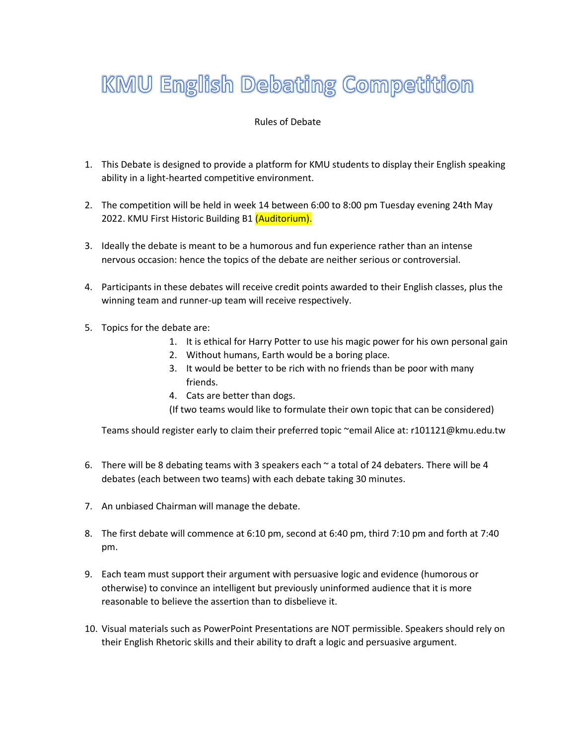## **KMU English Debating Competition**

## Rules of Debate

- 1. This Debate is designed to provide a platform for KMU students to display their English speaking ability in a light-hearted competitive environment.
- 2. The competition will be held in week 14 between 6:00 to 8:00 pm Tuesday evening 24th May 2022. KMU First Historic Building B1 (Auditorium).
- 3. Ideally the debate is meant to be a humorous and fun experience rather than an intense nervous occasion: hence the topics of the debate are neither serious or controversial.
- 4. Participants in these debates will receive credit points awarded to their English classes, plus the winning team and runner-up team will receive respectively.
- 5. Topics for the debate are:
	- 1. It is ethical for Harry Potter to use his magic power for his own personal gain
	- 2. Without humans, Earth would be a boring place.
	- 3. It would be better to be rich with no friends than be poor with many friends.
	- 4. Cats are better than dogs.

(If two teams would like to formulate their own topic that can be considered)

Teams should register early to claim their preferred topic ~email Alice at: r101121@kmu.edu.tw

- 6. There will be 8 debating teams with 3 speakers each  $\sim$  a total of 24 debaters. There will be 4 debates (each between two teams) with each debate taking 30 minutes.
- 7. An unbiased Chairman will manage the debate.
- 8. The first debate will commence at 6:10 pm, second at 6:40 pm, third 7:10 pm and forth at 7:40 pm.
- 9. Each team must support their argument with persuasive logic and evidence (humorous or otherwise) to convince an intelligent but previously uninformed audience that it is more reasonable to believe the assertion than to disbelieve it.
- 10. Visual materials such as PowerPoint Presentations are NOT permissible. Speakers should rely on their English Rhetoric skills and their ability to draft a logic and persuasive argument.